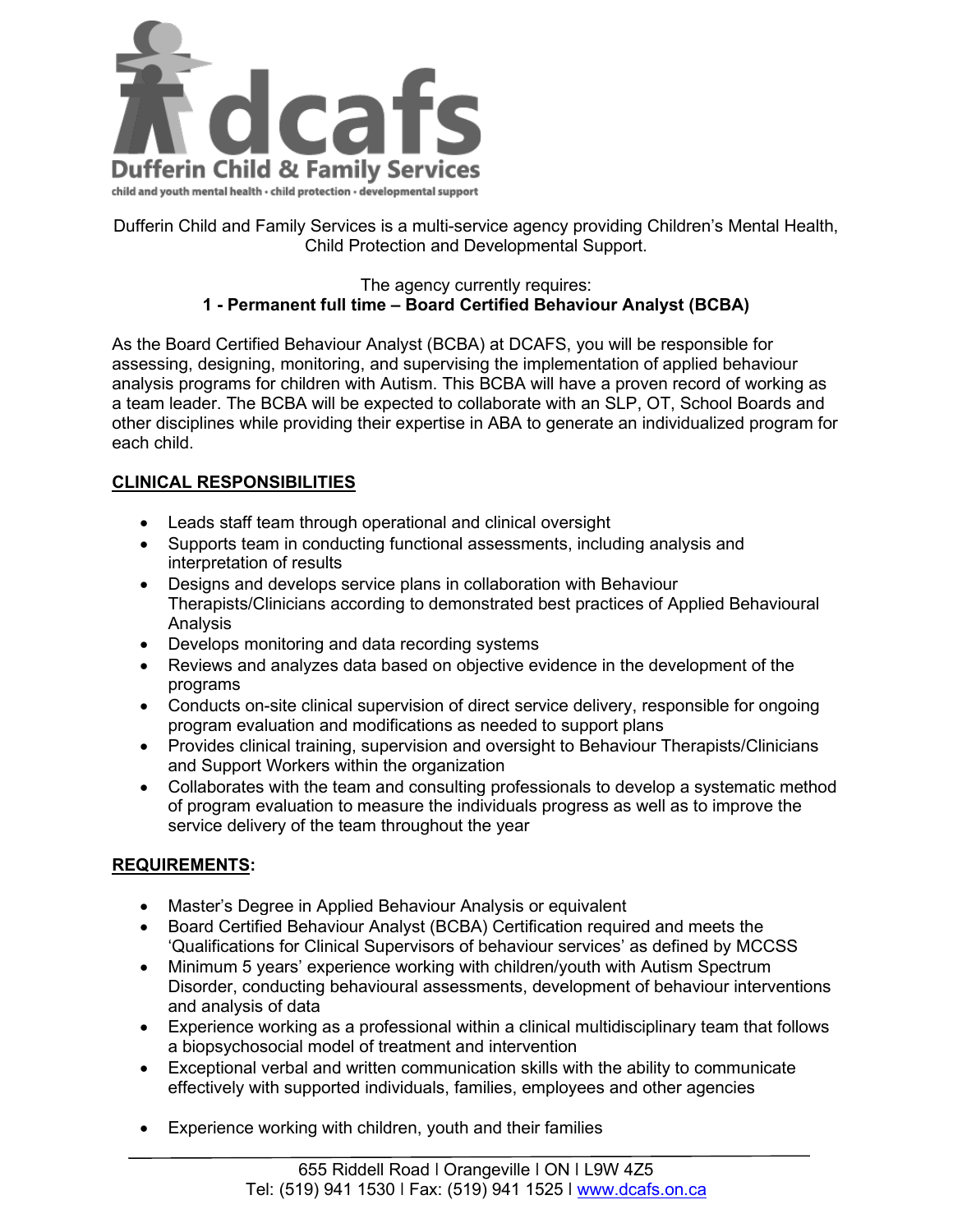

Dufferin Child and Family Services is a multi-service agency providing Children's Mental Health, Child Protection and Developmental Support.

## The agency currently requires: **1 - Permanent full time – Board Certified Behaviour Analyst (BCBA)**

As the Board Certified Behaviour Analyst (BCBA) at DCAFS, you will be responsible for assessing, designing, monitoring, and supervising the implementation of applied behaviour analysis programs for children with Autism. This BCBA will have a proven record of working as a team leader. The BCBA will be expected to collaborate with an SLP, OT, School Boards and other disciplines while providing their expertise in ABA to generate an individualized program for each child.

## **CLINICAL RESPONSIBILITIES**

- Leads staff team through operational and clinical oversight
- Supports team in conducting functional assessments, including analysis and interpretation of results
- Designs and develops service plans in collaboration with Behaviour Therapists/Clinicians according to demonstrated best practices of Applied Behavioural Analysis
- Develops monitoring and data recording systems
- Reviews and analyzes data based on objective evidence in the development of the programs
- Conducts on-site clinical supervision of direct service delivery, responsible for ongoing program evaluation and modifications as needed to support plans
- Provides clinical training, supervision and oversight to Behaviour Therapists/Clinicians and Support Workers within the organization
- Collaborates with the team and consulting professionals to develop a systematic method of program evaluation to measure the individuals progress as well as to improve the service delivery of the team throughout the year

## **REQUIREMENTS:**

- Master's Degree in Applied Behaviour Analysis or equivalent
- Board Certified Behaviour Analyst (BCBA) Certification required and meets the 'Qualifications for Clinical Supervisors of behaviour services' as defined by MCCSS
- Minimum 5 years' experience working with children/youth with Autism Spectrum Disorder, conducting behavioural assessments, development of behaviour interventions and analysis of data
- Experience working as a professional within a clinical multidisciplinary team that follows a biopsychosocial model of treatment and intervention
- Exceptional verbal and written communication skills with the ability to communicate effectively with supported individuals, families, employees and other agencies
- Experience working with children, youth and their families